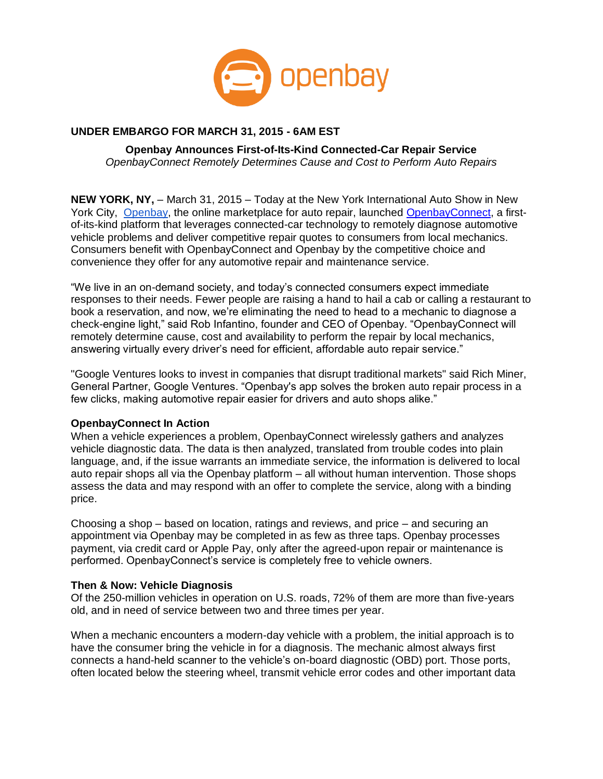

## **UNDER EMBARGO FOR MARCH 31, 2015 - 6AM EST**

**Openbay Announces First-of-Its-Kind Connected-Car Repair Service** *OpenbayConnect Remotely Determines Cause and Cost to Perform Auto Repairs*

**NEW YORK, NY,** – March 31, 2015 – Today at the New York International Auto Show in New York City, [Openbay,](https://www.openbay.com/) the online marketplace for auto repair, launched [OpenbayConnect,](http://www.openbayconnect.com/) a firstof-its-kind platform that leverages connected-car technology to remotely diagnose automotive vehicle problems and deliver competitive repair quotes to consumers from local mechanics. Consumers benefit with OpenbayConnect and Openbay by the competitive choice and convenience they offer for any automotive repair and maintenance service.

"We live in an on-demand society, and today's connected consumers expect immediate responses to their needs. Fewer people are raising a hand to hail a cab or calling a restaurant to book a reservation, and now, we're eliminating the need to head to a mechanic to diagnose a check-engine light," said Rob Infantino, founder and CEO of Openbay. "OpenbayConnect will remotely determine cause, cost and availability to perform the repair by local mechanics, answering virtually every driver's need for efficient, affordable auto repair service."

"Google Ventures looks to invest in companies that disrupt traditional markets" said Rich Miner, General Partner, Google Ventures. "Openbay's app solves the broken auto repair process in a few clicks, making automotive repair easier for drivers and auto shops alike."

### **OpenbayConnect In Action**

When a vehicle experiences a problem, OpenbayConnect wirelessly gathers and analyzes vehicle diagnostic data. The data is then analyzed, translated from trouble codes into plain language, and, if the issue warrants an immediate service, the information is delivered to local auto repair shops all via the Openbay platform – all without human intervention. Those shops assess the data and may respond with an offer to complete the service, along with a binding price.

Choosing a shop – based on location, ratings and reviews, and price – and securing an appointment via Openbay may be completed in as few as three taps. Openbay processes payment, via credit card or Apple Pay, only after the agreed-upon repair or maintenance is performed. OpenbayConnect's service is completely free to vehicle owners.

### **Then & Now: Vehicle Diagnosis**

Of the 250-million vehicles in operation on U.S. roads, 72% of them are more than five-years old, and in need of service between two and three times per year.

When a mechanic encounters a modern-day vehicle with a problem, the initial approach is to have the consumer bring the vehicle in for a diagnosis. The mechanic almost always first connects a hand-held scanner to the vehicle's on-board diagnostic (OBD) port. Those ports, often located below the steering wheel, transmit vehicle error codes and other important data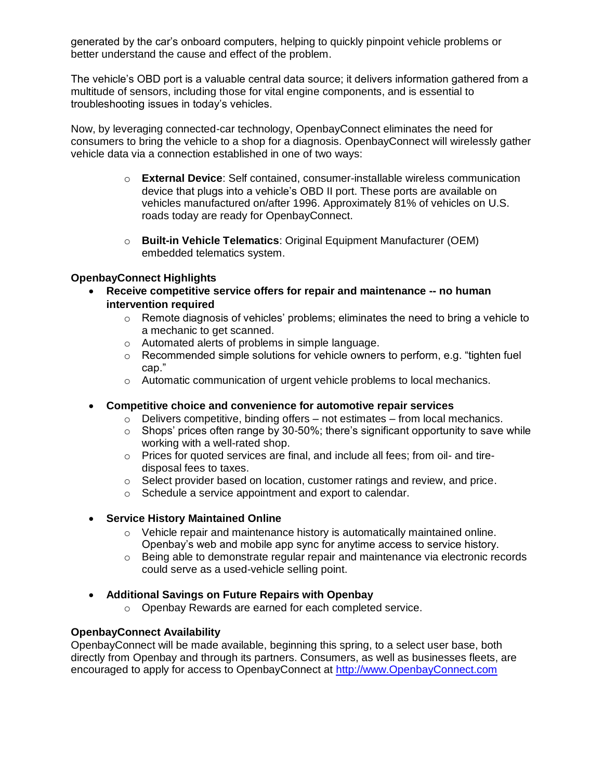generated by the car's onboard computers, helping to quickly pinpoint vehicle problems or better understand the cause and effect of the problem.

The vehicle's OBD port is a valuable central data source; it delivers information gathered from a multitude of sensors, including those for vital engine components, and is essential to troubleshooting issues in today's vehicles.

Now, by leveraging connected-car technology, OpenbayConnect eliminates the need for consumers to bring the vehicle to a shop for a diagnosis. OpenbayConnect will wirelessly gather vehicle data via a connection established in one of two ways:

- o **External Device**: Self contained, consumer-installable wireless communication device that plugs into a vehicle's OBD II port. These ports are available on vehicles manufactured on/after 1996. Approximately 81% of vehicles on U.S. roads today are ready for OpenbayConnect.
- o **Built-in Vehicle Telematics**: Original Equipment Manufacturer (OEM) embedded telematics system.

### **OpenbayConnect Highlights**

- **Receive competitive service offers for repair and maintenance -- no human intervention required** 
	- $\circ$  Remote diagnosis of vehicles' problems; eliminates the need to bring a vehicle to a mechanic to get scanned.
	- o Automated alerts of problems in simple language.
	- $\circ$  Recommended simple solutions for vehicle owners to perform, e.g. "tighten fuel cap."
	- o Automatic communication of urgent vehicle problems to local mechanics.
- **Competitive choice and convenience for automotive repair services**
	- $\circ$  Delivers competitive, binding offers not estimates from local mechanics.
	- $\circ$  Shops' prices often range by 30-50%; there's significant opportunity to save while working with a well-rated shop.
	- o Prices for quoted services are final, and include all fees; from oil- and tiredisposal fees to taxes.
	- o Select provider based on location, customer ratings and review, and price.
	- o Schedule a service appointment and export to calendar.

## **Service History Maintained Online**

- $\circ$  Vehicle repair and maintenance history is automatically maintained online. Openbay's web and mobile app sync for anytime access to service history.
- o Being able to demonstrate regular repair and maintenance via electronic records could serve as a used-vehicle selling point.
- **Additional Savings on Future Repairs with Openbay**
	- o Openbay Rewards are earned for each completed service.

### **OpenbayConnect Availability**

OpenbayConnect will be made available, beginning this spring, to a select user base, both directly from Openbay and through its partners. Consumers, as well as businesses fleets, are encouraged to apply for access to OpenbayConnect at [http://www.OpenbayConnect.com](http://www.openbayconnect.com/)